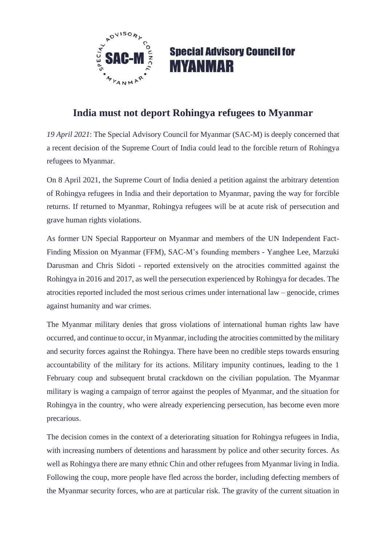

## **Special Advisory Council for MYANMAR**

## **India must not deport Rohingya refugees to Myanmar**

*19 April 2021*: The Special Advisory Council for Myanmar (SAC-M) is deeply concerned that a recent decision of the Supreme Court of India could lead to the forcible return of Rohingya refugees to Myanmar.

On 8 April 2021, the Supreme Court of India denied a petition against the arbitrary detention of Rohingya refugees in India and their deportation to Myanmar, paving the way for forcible returns. If returned to Myanmar, Rohingya refugees will be at acute risk of persecution and grave human rights violations.

As former UN Special Rapporteur on Myanmar and members of the UN Independent Fact-Finding Mission on Myanmar (FFM), SAC-M's founding members - Yanghee Lee, Marzuki Darusman and Chris Sidoti - reported extensively on the atrocities committed against the Rohingya in 2016 and 2017, as well the persecution experienced by Rohingya for decades. The atrocities reported included the most serious crimes under international law – genocide, crimes against humanity and war crimes.

The Myanmar military denies that gross violations of international human rights law have occurred, and continue to occur, in Myanmar, including the atrocities committed by the military and security forces against the Rohingya. There have been no credible steps towards ensuring accountability of the military for its actions. Military impunity continues, leading to the 1 February coup and subsequent brutal crackdown on the civilian population. The Myanmar military is waging a campaign of terror against the peoples of Myanmar, and the situation for Rohingya in the country, who were already experiencing persecution, has become even more precarious.

The decision comes in the context of a deteriorating situation for Rohingya refugees in India, with increasing numbers of detentions and harassment by police and other security forces. As well as Rohingya there are many ethnic Chin and other refugees from Myanmar living in India. Following the coup, more people have fled across the border, including defecting members of the Myanmar security forces, who are at particular risk. The gravity of the current situation in